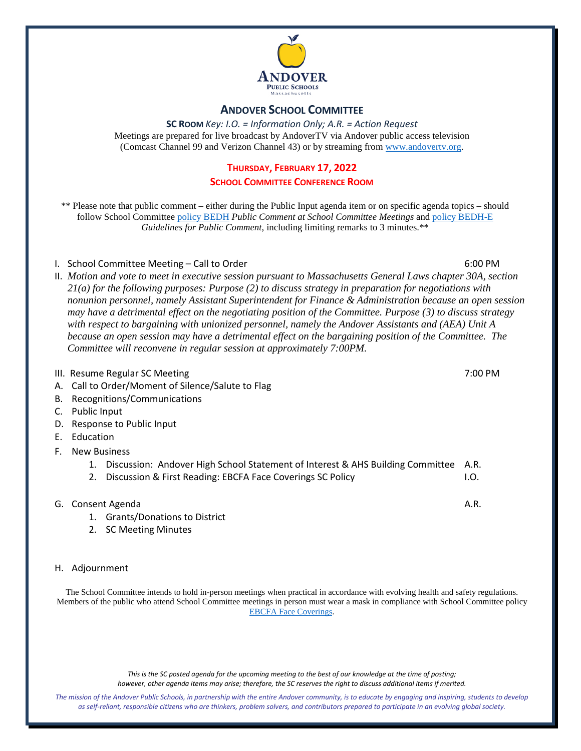

#### **ANDOVER SCHOOL COMMITTEE**

**SC ROOM** *Key: I.O. = Information Only; A.R. = Action Request* Meetings are prepared for live broadcast by AndoverTV via Andover public access television (Comcast Channel 99 and Verizon Channel 43) or by streaming from [www.andovertv.org.](http://www.andovertv.org/)

#### **THURSDAY, FEBRUARY 17, 2022**

#### **SCHOOL COMMITTEE CONFERENCE ROOM**

\*\* Please note that public comment – either during the Public Input agenda item or on specific agenda topics – should follow School Committee [policy BEDH](https://z2policy.ctspublish.com/masc/browse/andoverset/andover/BEDH) *Public Comment at School Committee Meetings* an[d policy BEDH-E](https://z2policy.ctspublish.com/masc/browse/andoverset/andover/BEDH-E/z2Code_BEDH-E) *Guidelines for Public Comment*, including limiting remarks to 3 minutes.\*\*

#### I. School Committee Meeting – Call to Order 6:00 PM

- II. *Motion and vote to meet in executive session pursuant to Massachusetts General Laws chapter 30A, section 21(a) for the following purposes: Purpose (2) to discuss strategy in preparation for negotiations with nonunion personnel, namely Assistant Superintendent for Finance & Administration because an open session may have a detrimental effect on the negotiating position of the Committee. Purpose (3) to discuss strategy with respect to bargaining with unionized personnel, namely the Andover Assistants and (AEA) Unit A because an open session may have a detrimental effect on the bargaining position of the Committee. The Committee will reconvene in regular session at approximately 7:00PM.*
- III. Resume Regular SC Meeting 7:00 PM
- A. Call to Order/Moment of Silence/Salute to Flag
- B. Recognitions/Communications
- C. Public Input
- D. Response to Public Input
- E. Education
- F. New Business
	- 1. Discussion: Andover High School Statement of Interest & AHS Building Committee A.R.
	- 2. Discussion & First Reading: EBCFA Face Coverings SC Policy **I.O.** I.O.
- G. Consent Agenda A.R.
	- 1. Grants/Donations to District
	- 2. SC Meeting Minutes
- H. Adjournment

The School Committee intends to hold in-person meetings when practical in accordance with evolving health and safety regulations. Members of the public who attend School Committee meetings in person must wear a mask in compliance with School Committee policy [EBCFA Face Coverings.](https://z2policy.ctspublish.com/masc/browse/andoverset/andover/EBCFA) 

> *This is the SC posted agenda for the upcoming meeting to the best of our knowledge at the time of posting; however, other agenda items may arise; therefore, the SC reserves the right to discuss additional items if merited.*

*The mission of the Andover Public Schools, in partnership with the entire Andover community, is to educate by engaging and inspiring, students to develop as self-reliant, responsible citizens who are thinkers, problem solvers, and contributors prepared to participate in an evolving global society.*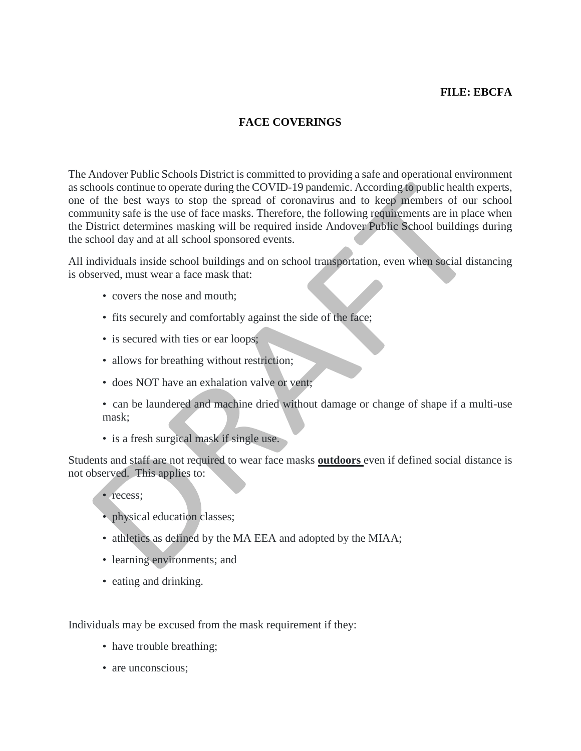# **FILE: EBCFA**

# **FACE COVERINGS**

The Andover Public Schools District is committed to providing a safe and operational environment as schools continue to operate during the COVID-19 pandemic. According to public health experts, one of the best ways to stop the spread of coronavirus and to keep members of our school community safe is the use of face masks. Therefore, the following requirements are in place when the District determines masking will be required inside Andover Public School buildings during the school day and at all school sponsored events.

All individuals inside school buildings and on school transportation, even when social distancing is observed, must wear a face mask that:

- covers the nose and mouth;
- fits securely and comfortably against the side of the face;
- is secured with ties or ear loops;
- allows for breathing without restriction;
- does NOT have an exhalation valve or vent;
- can be laundered and machine dried without damage or change of shape if a multi-use mask;
- is a fresh surgical mask if single use.

Students and staff are not required to wear face masks **outdoors** even if defined social distance is not observed. This applies to:

- recess:
- physical education classes;
- athletics as defined by the MA EEA and adopted by the MIAA;
- learning environments; and
- eating and drinking.

Individuals may be excused from the mask requirement if they:

- have trouble breathing;
- are unconscious;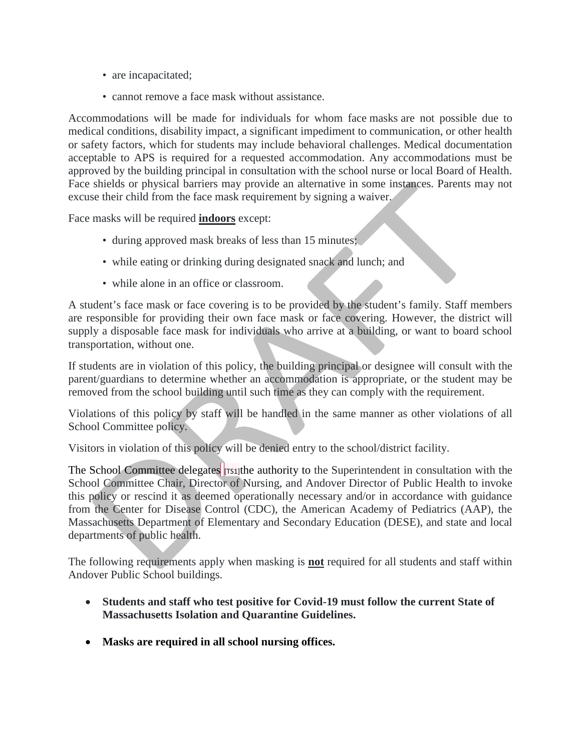- are incapacitated;
- cannot remove a face mask without assistance.

Accommodations will be made for individuals for whom face masks are not possible due to medical conditions, disability impact, a significant impediment to communication, or other health or safety factors, which for students may include behavioral challenges. Medical documentation acceptable to APS is required for a requested accommodation. Any accommodations must be approved by the building principal in consultation with the school nurse or local Board of Health. Face shields or physical barriers may provide an alternative in some instances. Parents may not excuse their child from the face mask requirement by signing a waiver.

Face masks will be required **indoors** except:

- during approved mask breaks of less than 15 minutes;
- while eating or drinking during designated snack and lunch; and
- while alone in an office or classroom.

A student's face mask or face covering is to be provided by the student's family. Staff members are responsible for providing their own face mask or face covering. However, the district will supply a disposable face mask for individuals who arrive at a building, or want to board school transportation, without one.

If students are in violation of this policy, the building principal or designee will consult with the parent/guardians to determine whether an accommodation is appropriate, or the student may be removed from the school building until such time as they can comply with the requirement.

Violations of this policy by staff will be handled in the same manner as other violations of all School Committee policy.

Visitors in violation of this policy will be denied entry to the school/district facility.

The School Committee delegates **[TS1]**the authority to the Superintendent in consultation with the School Committee Chair, Director of Nursing, and Andover Director of Public Health to invoke this policy or rescind it as deemed operationally necessary and/or in accordance with guidance from the Center for Disease Control (CDC), the American Academy of Pediatrics (AAP), the Massachusetts Department of Elementary and Secondary Education (DESE), and state and local departments of public health.

The following requirements apply when masking is **not** required for all students and staff within Andover Public School buildings.

- **Students and staff who test positive for Covid-19 must follow the current State of Massachusetts Isolation and Quarantine Guidelines.**
- **Masks are required in all school nursing offices.**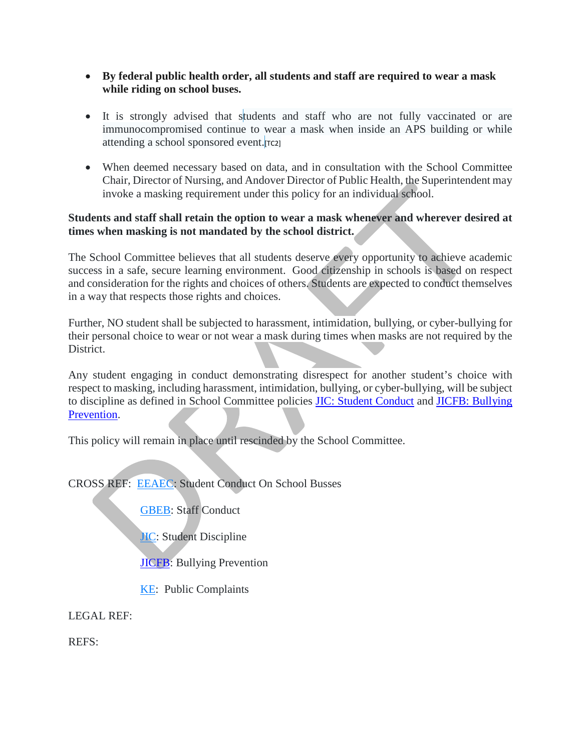- **By federal public health order, all students and staff are required to wear a mask while riding on school buses.**
- It is strongly advised that students and staff who are not fully vaccinated or are immunocompromised continue to wear a mask when inside an APS building or while attending a school sponsored event. [TC2]
- When deemed necessary based on data, and in consultation with the School Committee Chair, Director of Nursing, and Andover Director of Public Health, the Superintendent may invoke a masking requirement under this policy for an individual school.

## **Students and staff shall retain the option to wear a mask whenever and wherever desired at times when masking is not mandated by the school district.**

The School Committee believes that all students deserve every opportunity to achieve academic success in a safe, secure learning environment. Good citizenship in schools is based on respect and consideration for the rights and choices of others. Students are expected to conduct themselves in a way that respects those rights and choices.

Further, NO student shall be subjected to harassment, intimidation, bullying, or cyber-bullying for their personal choice to wear or not wear a mask during times when masks are not required by the District.

Any student engaging in conduct demonstrating disrespect for another student's choice with respect to masking, including harassment, intimidation, bullying, or cyber-bullying, will be subject to discipline as defined in School Committee policies [JIC: Student Conduct](https://z2policy.ctspublish.com/masc/browse/andoverset/andover/JIC) and [JICFB: Bullying](https://z2policy.ctspublish.com/masc/browse/andoverset/andover/JICFB)  [Prevention.](https://z2policy.ctspublish.com/masc/browse/andoverset/andover/JICFB)

This policy will remain in place until rescinded by the School Committee.

CROSS REF: [EEAEC:](https://z2policy.ctspublish.com/masc/browse/andoverset/welcome/root) Student Conduct On School Busses

[GBEB:](https://z2policy.ctspublish.com/masc/browse/andoverset/welcome/root) Staff Conduct

**[JIC:](https://z2policy.ctspublish.com/masc/browse/andoverset/welcome/root)** Student Discipline

**JICFB**: Bullying Prevention

[KE:](https://z2policy.ctspublish.com/masc/browse/andoverset/welcome/root) Public Complaints

LEGAL REF:

REFS: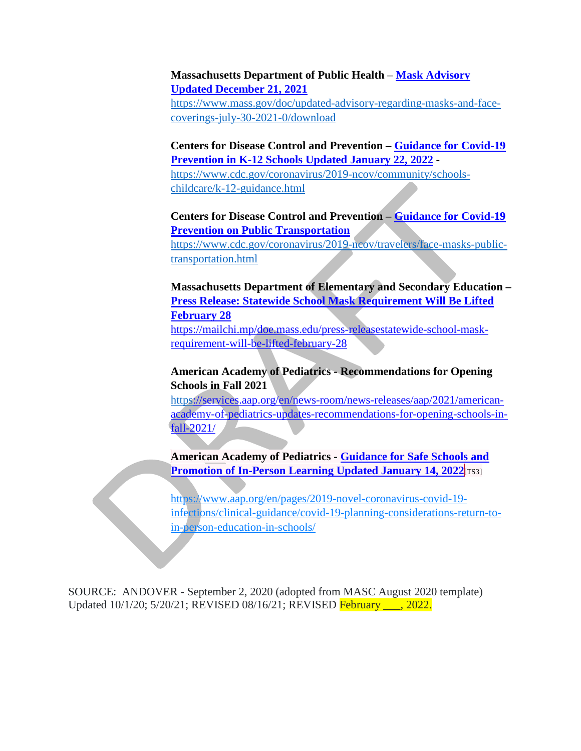### **Massachusetts Department of Public Health** – **[Mask Advisory](https://www.mass.gov/doc/updated-advisory-regarding-masks-and-face-coverings-july-30-2021-0/download)  [Updated December 21, 2021](https://www.mass.gov/doc/updated-advisory-regarding-masks-and-face-coverings-july-30-2021-0/download)**

[https://www.mass.gov/doc/updated-advisory-regarding-masks-and-face](https://www.mass.gov/doc/updated-advisory-regarding-masks-and-face-coverings-july-30-2021-0/download)[coverings-july-30-2021-0/download](https://www.mass.gov/doc/updated-advisory-regarding-masks-and-face-coverings-july-30-2021-0/download)

**Centers for Disease Control and Prevention – [Guidance for Covid-19](https://www.cdc.gov/coronavirus/2019-ncov/community/schools-childcare/k-12-guidance.html)  [Prevention in K-12 Schools Updated January 22, 2022](https://www.cdc.gov/coronavirus/2019-ncov/community/schools-childcare/k-12-guidance.html) -**

[https://www.cdc.gov/coronavirus/2019-ncov/community/schools](https://www.cdc.gov/coronavirus/2019-ncov/community/schools-childcare/k-12-guidance.html)[childcare/k-12-guidance.html](https://www.cdc.gov/coronavirus/2019-ncov/community/schools-childcare/k-12-guidance.html)

# **Centers for Disease Control and Prevention – [Guidance for Covid-19](https://www.cdc.gov/coronavirus/2019-ncov/travelers/face-masks-public-transportation.html)  [Prevention on Public Transportation](https://www.cdc.gov/coronavirus/2019-ncov/travelers/face-masks-public-transportation.html)**

[https://www.cdc.gov/coronavirus/2019-ncov/travelers/face-masks-public](https://www.cdc.gov/coronavirus/2019-ncov/travelers/face-masks-public-transportation.html)[transportation.html](https://www.cdc.gov/coronavirus/2019-ncov/travelers/face-masks-public-transportation.html)

**Massachusetts Department of Elementary and Secondary Education – [Press Release: Statewide School Mask Requirement Will Be Lifted](https://mailchi.mp/doe.mass.edu/press-releasestatewide-school-mask-requirement-will-be-lifted-february-28)  [February 28](https://mailchi.mp/doe.mass.edu/press-releasestatewide-school-mask-requirement-will-be-lifted-february-28)** [https://mailchi.mp/doe.mass.edu/press-releasestatewide-school-mask](https://mailchi.mp/doe.mass.edu/press-releasestatewide-school-mask-requirement-will-be-lifted-february-28)[requirement-will-be-lifted-february-28](https://mailchi.mp/doe.mass.edu/press-releasestatewide-school-mask-requirement-will-be-lifted-february-28)

# **American Academy of Pediatrics - Recommendations for Opening Schools in Fall 2021**

[https://services.aap.org/en/news-room/news-releases/aap/2021/american](https://services.aap.org/en/news-room/news-releases/aap/2021/american-academy-of-pediatrics-updates-recommendations-for-opening-schools-in-fall-2021/)[academy-of-pediatrics-updates-recommendations-for-opening-schools-in](https://services.aap.org/en/news-room/news-releases/aap/2021/american-academy-of-pediatrics-updates-recommendations-for-opening-schools-in-fall-2021/)[fall-2021/](https://services.aap.org/en/news-room/news-releases/aap/2021/american-academy-of-pediatrics-updates-recommendations-for-opening-schools-in-fall-2021/)

**American Academy of Pediatrics - [Guidance for Safe Schools and](https://www.aap.org/en/pages/2019-novel-coronavirus-covid-19-infections/clinical-guidance/covid-19-planning-considerations-return-to-in-person-education-in-schools/)  [Promotion of In-Person Learning](https://www.aap.org/en/pages/2019-novel-coronavirus-covid-19-infections/clinical-guidance/covid-19-planning-considerations-return-to-in-person-education-in-schools/) Updated January 14, 2022**[TS3]

https://www.aap.org/en/pages/2019-novel-coronavirus-covid-19 infections/clinical-guidance/covid-19-planning-considerations-return-toin-person-education-in-schools/

SOURCE: ANDOVER - September 2, 2020 (adopted from MASC August 2020 template) Updated 10/1/20; 5/20/21; REVISED 08/16/21; REVISED February \_\_\_, 2022.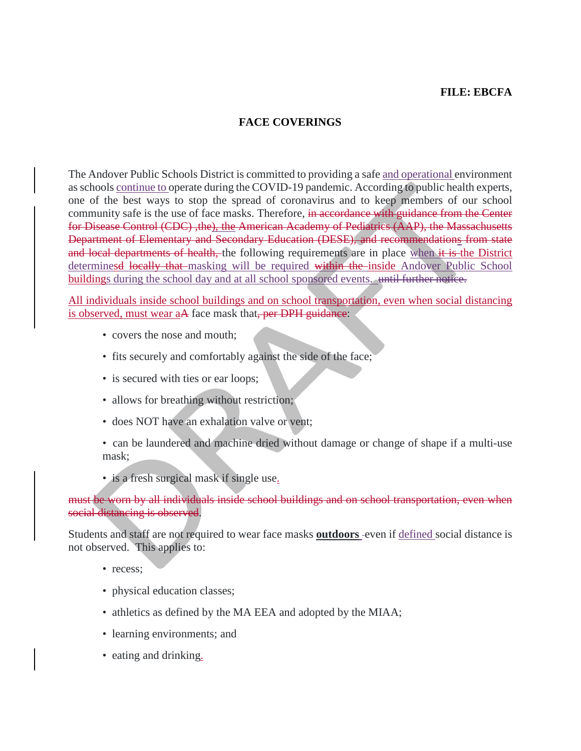## **FILE: EBCFA**

## **FACE COVERINGS**

The Andover Public Schools District is committed to providing a safe and operational environment as schools continue to operate during the COVID-19 pandemic. According to public health experts, one of the best ways to stop the spread of coronavirus and to keep members of our school community safe is the use of face masks. Therefore, in accordance with guidance from the Center for Disease Control (CDC) ,the), the American Academy of Pediatrics (AAP), the Massachusetts Department of Elementary and Secondary Education (DESE), and recommendations from state and local departments of health, the following requirements are in place when it is the District determinesd locally that masking will be required within the inside Andover Public School buildings during the school day and at all school sponsored events. until further notice.

All individuals inside school buildings and on school transportation, even when social distancing is observed, must wear aA face mask that, per DPH guidance:

- covers the nose and mouth;
- fits securely and comfortably against the side of the face;
- is secured with ties or ear loops;
- allows for breathing without restriction;
- does NOT have an exhalation valve or vent;

• can be laundered and machine dried without damage or change of shape if a multi-use mask;

• is a fresh surgical mask if single use.

must be worn by all individuals inside school buildings and on school transportation, even when social distancing is observed.

Students and staff are not required to wear face masks **outdoors** -even if defined social distance is not observed. This applies to:

- recess:
- physical education classes;
- athletics as defined by the MA EEA and adopted by the MIAA;
- learning environments; and
- eating and drinking.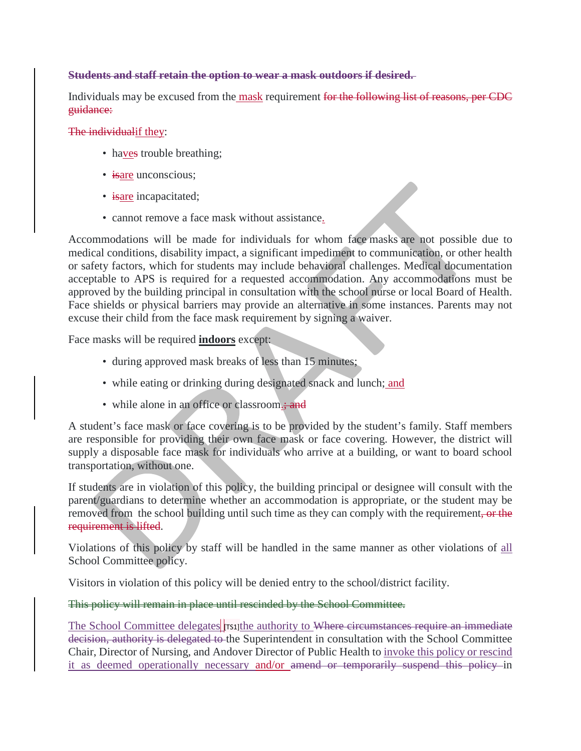## **Students and staff retain the option to wear a mask outdoors if desired.**

Individuals may be excused from the mask requirement for the following list of reasons, per CDC guidance:

The individualif they:

- have trouble breathing;
- isare unconscious;
- isare incapacitated;
- cannot remove a face mask without assistance.

Accommodations will be made for individuals for whom face masks are not possible due to medical conditions, disability impact, a significant impediment to communication, or other health or safety factors, which for students may include behavioral challenges. Medical documentation acceptable to APS is required for a requested accommodation. Any accommodations must be approved by the building principal in consultation with the school nurse or local Board of Health. Face shields or physical barriers may provide an alternative in some instances. Parents may not excuse their child from the face mask requirement by signing a waiver.

Face masks will be required **indoors** except:

- during approved mask breaks of less than 15 minutes;
- while eating or drinking during designated snack and lunch; and
- while alone in an office or classroom.; and

A student's face mask or face covering is to be provided by the student's family. Staff members are responsible for providing their own face mask or face covering. However, the district will supply a disposable face mask for individuals who arrive at a building, or want to board school transportation, without one.

If students are in violation of this policy, the building principal or designee will consult with the parent/guardians to determine whether an accommodation is appropriate, or the student may be removed from the school building until such time as they can comply with the requirement, or the requirement is lifted.

Violations of this policy by staff will be handled in the same manner as other violations of all School Committee policy.

Visitors in violation of this policy will be denied entry to the school/district facility.

#### This policy will remain in place until rescinded by the School Committee.

The School Committee delegates **T**rsigthe authority to Where circumstances require an immediate decision, authority is delegated to the Superintendent in consultation with the School Committee Chair, Director of Nursing, and Andover Director of Public Health to invoke this policy or rescind it as deemed operationally necessary and/or amend or temporarily suspend this policy in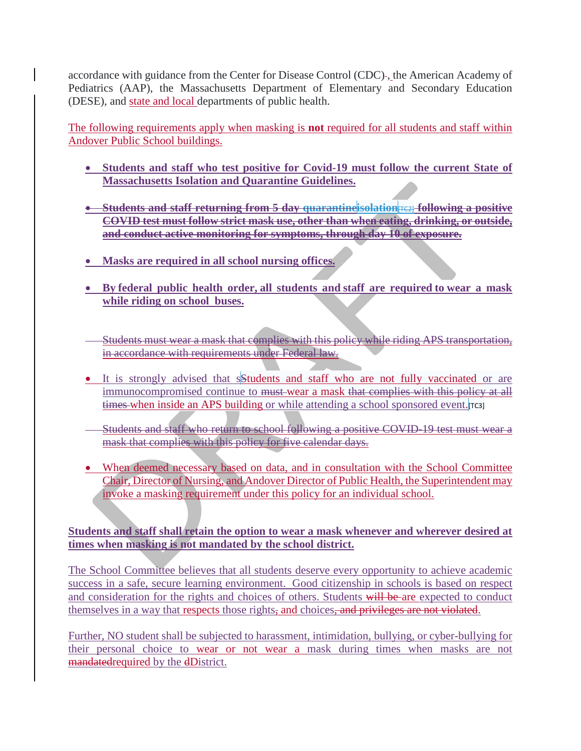accordance with guidance from the Center for Disease Control (CDC) , the American Academy of Pediatrics (AAP), the Massachusetts Department of Elementary and Secondary Education (DESE), and state and local departments of public health.

The following requirements apply when masking is **not** required for all students and staff within Andover Public School buildings.

- **Students and staff who test positive for Covid-19 must follow the current State of Massachusetts Isolation and Quarantine Guidelines.**
- **Students and staff returning from 5 day quarantineisolation**[TC2] **following a positive COVID test must follow strict mask use, other than when eating, drinking, or outside, and conduct active monitoring for symptoms, through day 10 of exposure.**
- **Masks are required in all school nursing offices.**
- **By federal public health order, all students and staff are required to wear a mask while riding on school buses.**
- Students must wear a mask that complies with this policy while riding APS transportation, in accordance with requirements under Federal law.
- It is strongly advised that s**Students** and staff who are not fully vaccinated or are immunocompromised continue to <del>must</del> wear a mask that complies with this policy at all times when inside an APS building or while attending a school sponsored event. [TC3]
- Students and staff who return to school following a positive COVID-19 test must wear a mask that complies with this policy for five calendar days.
- When deemed necessary based on data, and in consultation with the School Committee Chair, Director of Nursing, and Andover Director of Public Health, the Superintendent may invoke a masking requirement under this policy for an individual school.

# **Students and staff shall retain the option to wear a mask whenever and wherever desired at times when masking is not mandated by the school district.**

The School Committee believes that all students deserve every opportunity to achieve academic success in a safe, secure learning environment. Good citizenship in schools is based on respect and consideration for the rights and choices of others. Students will be are expected to conduct themselves in a way that respects those rights, and choices, and privileges are not violated.

Further, NO student shall be subjected to harassment, intimidation, bullying, or cyber-bullying for their personal choice to wear or not wear a mask during times when masks are not mandatedrequired by the dDistrict.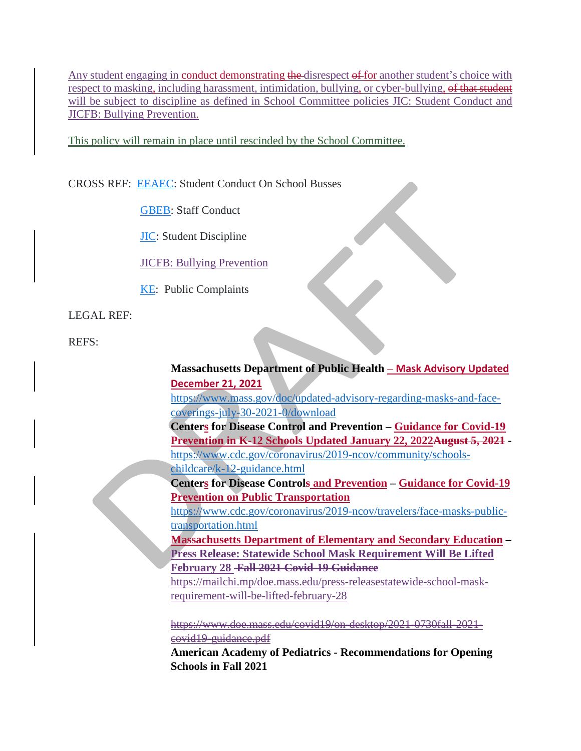Any student engaging in conduct demonstrating the disrespect of for another student's choice with respect to masking, including harassment, intimidation, bullying, or cyber-bullying, of that student will be subject to discipline as defined in School Committee policies [JIC: Student Conduct](https://z2policy.ctspublish.com/masc/browse/andoverset/andover/JIC) and [JICFB: Bullying Prevention.](https://z2policy.ctspublish.com/masc/browse/andoverset/andover/JICFB)

This policy will remain in place until rescinded by the School Committee.

CROSS REF: [EEAEC:](https://z2policy.ctspublish.com/masc/browse/andoverset/welcome/root) Student Conduct On School Busses

[GBEB:](https://z2policy.ctspublish.com/masc/browse/andoverset/welcome/root) Staff Conduct

[JIC:](https://z2policy.ctspublish.com/masc/browse/andoverset/welcome/root) Student Discipline

[JICFB:](https://z2policy.ctspublish.com/masc/browse/andoverset/andover/JICFB) Bullying Prevention

[KE:](https://z2policy.ctspublish.com/masc/browse/andoverset/welcome/root) Public Complaints

LEGAL REF:

REFS:

# **Massachusetts Department of Public Health** – **[Mask Advisory Updated](https://www.mass.gov/doc/updated-advisory-regarding-masks-and-face-coverings-july-30-2021-0/download)  [December 21, 2021](https://www.mass.gov/doc/updated-advisory-regarding-masks-and-face-coverings-july-30-2021-0/download)** [https://www.mass.gov/doc/updated-advisory-regarding-masks-and-face](https://www.mass.gov/doc/updated-advisory-regarding-masks-and-face-coverings-july-30-2021-0/download)[coverings-july-30-2021-0/download](https://www.mass.gov/doc/updated-advisory-regarding-masks-and-face-coverings-july-30-2021-0/download) **Centers for Disease Control and Prevention – [Guidance for Covid-19](https://www.cdc.gov/coronavirus/2019-ncov/community/schools-childcare/k-12-guidance.html)  [Prevention in K-12 Schools Updated January 22, 2022A](https://www.cdc.gov/coronavirus/2019-ncov/community/schools-childcare/k-12-guidance.html)ugust 5, 2021**  [https://www.cdc.gov/coronavirus/2019-ncov/community/schools](https://www.cdc.gov/coronavirus/2019-ncov/community/schools-childcare/k-12-guidance.html)[childcare/k-12-guidance.html](https://www.cdc.gov/coronavirus/2019-ncov/community/schools-childcare/k-12-guidance.html) **Centers for Disease Controls and Prevention – [Guidance for Covid-19](https://www.cdc.gov/coronavirus/2019-ncov/travelers/face-masks-public-transportation.html)  [Prevention on Public Transportation](https://www.cdc.gov/coronavirus/2019-ncov/travelers/face-masks-public-transportation.html)** [https://www.cdc.gov/coronavirus/2019-ncov/travelers/face-masks-public](https://www.cdc.gov/coronavirus/2019-ncov/travelers/face-masks-public-transportation.html)[transportation.html](https://www.cdc.gov/coronavirus/2019-ncov/travelers/face-masks-public-transportation.html) **[Massachusetts Department of Elementary and Secondary Education](https://www.doe.mass.edu/covid19/on-desktop/2022-0209mask-requirement-update.pdf) – Press Release: Statewide School Mask Requirement Will Be Lifted February 28 Fall 2021 Covid-19 Guidance** https://mailchi.mp/doe.mass.edu/press-releasestatewide-school-maskrequirement-will-be-lifted-february-28 https://www.doe.mass.edu/covid19/on-desktop/2021-0730fall-2021-

covid19-guidance.pdf

**American Academy of Pediatrics - Recommendations for Opening Schools in Fall 2021**